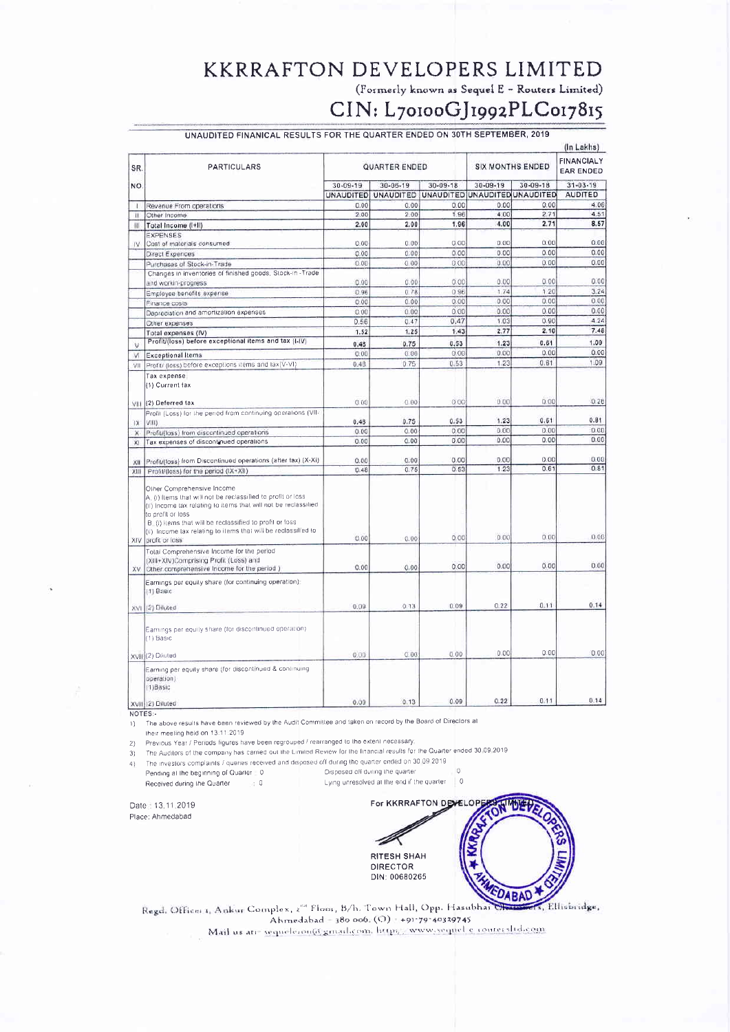#### **KKRRAFTON DEVELOPERS LIMITED**

(Formerly known as Sequel E - Routers Limited)

# CIN: L70100GJ1992PLC017815

|              |                                                                                                                                                                                                                                                                                                                                    |                      |                  |                               |                         |              | (In Lakhs)<br><b>FINANCIALY</b><br><b>EAR ENDED</b> |
|--------------|------------------------------------------------------------------------------------------------------------------------------------------------------------------------------------------------------------------------------------------------------------------------------------------------------------------------------------|----------------------|------------------|-------------------------------|-------------------------|--------------|-----------------------------------------------------|
| SR.<br>NO.   | <b>PARTICULARS</b>                                                                                                                                                                                                                                                                                                                 | <b>QUARTER ENDED</b> |                  |                               | <b>SIX MONTHS ENDED</b> |              |                                                     |
|              |                                                                                                                                                                                                                                                                                                                                    | 30-09-19             | $30 - 06 - 19$   | $30 - 09 - 18$                | $30 - 09 - 19$          | 30-09-18     | $31 - 03 - 19$                                      |
|              |                                                                                                                                                                                                                                                                                                                                    | <b>UNAUDITED</b>     | <b>UNAUDITED</b> | UNAUDITED UNAUDITED UNAUDITED |                         |              | <b>AUDITED</b>                                      |
| 1            | Revenue From operations                                                                                                                                                                                                                                                                                                            | 0.00                 | 0.00             | 0.00                          | 0.00                    | 0.00         | 4.06                                                |
| $\mathbf{u}$ | Other Income                                                                                                                                                                                                                                                                                                                       | 2.00                 | 2.00             | 1.96                          | 4.00                    | 2.71         | 4.51                                                |
| ш            | Total Income (I+II)                                                                                                                                                                                                                                                                                                                | 2.00                 | 2.00             | 1.96                          | 4.00                    | 2.71         | 8.57                                                |
| IV.          | <b>EXPENSES</b>                                                                                                                                                                                                                                                                                                                    |                      |                  |                               | 0.00                    | 0.00         | 0.00                                                |
|              | Cost of materials consumed                                                                                                                                                                                                                                                                                                         | 0.00                 | 0.00             | 0.00                          |                         |              |                                                     |
|              | Direct Expences                                                                                                                                                                                                                                                                                                                    | 0.00                 | 0.00             | 0.00                          | 0.00                    | 0.00<br>0.00 | 0.00<br>0.00                                        |
|              | Purchases of Stock-in-Trade                                                                                                                                                                                                                                                                                                        | 0.00                 | 0.00             | 0.00                          | 0.00                    |              |                                                     |
|              | Changes in inventories of finished goods, Stock-in-Trade                                                                                                                                                                                                                                                                           |                      |                  | 0.00                          | 0.00                    | 0.00         | 0.00                                                |
|              | and workin-progress                                                                                                                                                                                                                                                                                                                | 0.00                 | 0.00             |                               |                         | 120          | 3.24                                                |
|              | Employee benefits expense                                                                                                                                                                                                                                                                                                          | 0.96                 | 0.78             | 0.96                          | 1.74                    |              | 0.00                                                |
|              | Finance costs                                                                                                                                                                                                                                                                                                                      | 0.00                 | 0.00             | 0.00                          | 0.00                    | 0.00<br>0.00 | 0.00                                                |
|              | Depreciation and amortization expenses                                                                                                                                                                                                                                                                                             | 0.00                 | 0.00             | 0.00                          | 0.00                    |              | 4.24                                                |
|              | Other expenses                                                                                                                                                                                                                                                                                                                     | 0.56                 | 0.47             | 0.47                          | 1.03                    | 0.90         |                                                     |
|              | Total expenses (IV)                                                                                                                                                                                                                                                                                                                | 1.52                 | 1,25             | 1.43                          | 2.77                    | 2.10         | 7.48                                                |
| v            | Profit/(loss) before exceptional items and tax (I-IV)                                                                                                                                                                                                                                                                              | 0.48                 | 0.75             | 0,53                          | 1.23                    | 0.61         | 1.09                                                |
| VI           | <b>Exceptional Items</b>                                                                                                                                                                                                                                                                                                           | 0.00                 | 0.00             | 0.00                          | 0.00                    | 0.00         | 0.00                                                |
| VII          | Profit/ (loss) before exceptions items and lax(V-VI)                                                                                                                                                                                                                                                                               | 0.48                 | 0.75             | 0.53                          | 1,23                    | 0.61         | 1.09                                                |
| VIII         | (1) Current tax<br>(2) Deferred tax                                                                                                                                                                                                                                                                                                | 0.00                 | 0.00             | 0.00                          | 0.00                    | 0.00         | 0.28                                                |
|              | Profit (Loss) for the period from continuing operations (VII-<br>VIII)                                                                                                                                                                                                                                                             | 0.48                 | 0.75             | 0.63                          | 1.23                    | 0.61         | 0.81                                                |
| 1X           |                                                                                                                                                                                                                                                                                                                                    | 0.00                 | 0.00             | 0.00                          | 0.00                    | 0.00         | 0.00                                                |
| x            | Profit/(loss) from discontinued operations                                                                                                                                                                                                                                                                                         | 0.00                 | 0.00             | 0.00                          | 0.00                    | 0.00         | 0.00                                                |
| XI.          | Tax expenses of discontrued operations                                                                                                                                                                                                                                                                                             |                      |                  |                               |                         |              |                                                     |
|              | Profit/(loss) from Discontinued operations (after tax) (X-Xi)                                                                                                                                                                                                                                                                      | 0.00                 | 0.00             | 0.00                          | 0.00                    | 0.00         | 0.00                                                |
| XII<br>XIII  | Profit/(loss) for the period (IX+XII)                                                                                                                                                                                                                                                                                              | 0.48                 | 0.75             | 0.53                          | 1.23                    | 0.61         | 0.81                                                |
| XIV          | Other Comprehensive Income<br>A. (i) Items that will not be reclassified to profit or loss<br>(ii) Income tax relating to items that will not be reclassified<br>to profit or loss<br>B. (i) items that will be reclassified to profit or loss<br>(ii) Income tax relating to items that will be reclassified to<br>profit or loss | 0.00                 | 0.00             | 0.00                          | 0.00                    | 0.00         | 0.00                                                |
|              | Total Comprehensive Income for the period                                                                                                                                                                                                                                                                                          |                      |                  |                               |                         |              |                                                     |
|              | (XIII+XIV)Comprising Profit (Loss) and                                                                                                                                                                                                                                                                                             |                      |                  |                               | 0.00                    | 0.00         | 0.00                                                |
| XV           | Other comprehensive Income for the period )                                                                                                                                                                                                                                                                                        | 0.00                 | 0.00             | 0.00                          |                         |              |                                                     |
|              | Earnings per equity share (for continuing operation).<br>$(1)$ Basic                                                                                                                                                                                                                                                               |                      |                  |                               |                         |              |                                                     |
| XVI          | (2) Diluted                                                                                                                                                                                                                                                                                                                        | 0.09                 | 0.13             | 0.09                          | 0.22                    | 0.11         | 0.14                                                |
|              | Earnings per equity share (for discontinued operation)<br>(1) Basic                                                                                                                                                                                                                                                                |                      |                  |                               |                         |              |                                                     |
|              | XVIII(2) Diluted                                                                                                                                                                                                                                                                                                                   | 0.00                 | 0.00             | 0.00                          | 0.00                    | 0.00         | 0.00                                                |
|              | Earning per equity share (for discontinued & continuing<br>operation)<br>$(1)$ Basic                                                                                                                                                                                                                                               |                      |                  |                               |                         |              |                                                     |
|              | yvail (23 Diluted)                                                                                                                                                                                                                                                                                                                 | 0.09                 | 0.13             | 0.09                          | 0.22                    | 0.11         | 0.14                                                |

NOTES:

1) The above results have been reviewed by the Audit Committee and taken on record by the Board of Directors at

their meeting held on 13:11:2019

2) Previous Year / Periods figures have been regrouped / rearranged to the extent necessary The Auditors of the company has carried out the Limited Review for the financial results for the Quarter ended 30.09.2019

 $3)$ 

The investors complaints / queries received and disposed off during the quarter ended on 30.09.2019  $4<sub>2</sub>$ Disposed off during the quarter

 $\mathbf{v}$  0

Pending at the beginning of Quarter = 0 Received during the Quarter

Lying unresolved at the end if the quarter | 0

Date: 13,11,2019 Place: Ahmedabad



 $\overline{O}$ 

, Ellisbridge, Regd. Office: 1, Ankur Complex, 2<sup>04</sup> Floor, B/h. Town Hall, Opp. Hasubhai Ahmedabad = 380 006; (O) = +91-79-40339745<br>Mail us atr= sequeleron(d:gmail.com, https://www.sequel.c.com/ersltd.com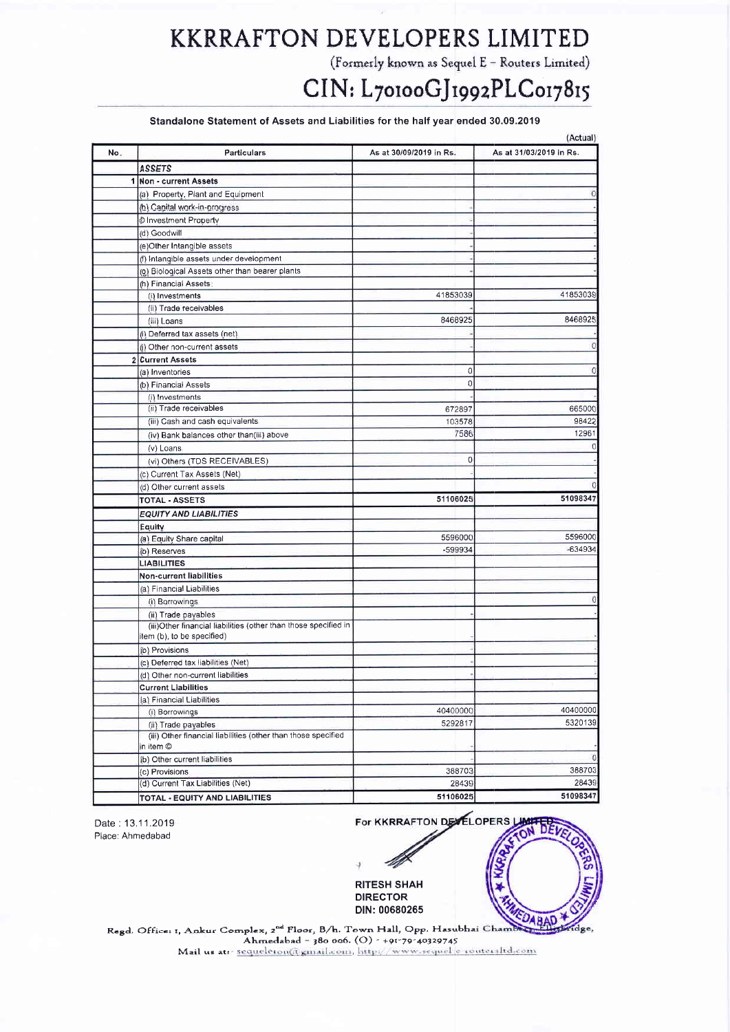### KKRRAFTON DEVELOPERS LIMITED KKRRAFTON PSVSLOPERS LIMITED

(Formerly known as Sequel E - Routers Limited)

# CIN: L70100GJ1992PLC017815

#### Standalone Statement of Assets and Liabilities for the half year ended 30.09.2019

| No. | Particulars                                                                | As at 30/09/2019 in Rs. | As at 31/03/2019 in Rs. |
|-----|----------------------------------------------------------------------------|-------------------------|-------------------------|
|     | <b>ASSETS</b>                                                              |                         |                         |
|     | 1 Non - current Assets                                                     |                         |                         |
|     | (a) Property, Plant and Equipment                                          |                         |                         |
|     | (b) Capital work-in-progress                                               |                         |                         |
|     |                                                                            |                         |                         |
|     | <b><i>©</i></b> Investment Property                                        |                         |                         |
|     | (d) Goodwill                                                               |                         |                         |
|     | (e)Other Intangible assets                                                 |                         |                         |
|     | (f) Intangible assets under development                                    |                         |                         |
|     | (g) Biological Assets other than bearer plants                             |                         |                         |
|     | (h) Financial Assets:                                                      | 41853039                | 41853039                |
|     | (i) Investments                                                            |                         |                         |
|     | (ii) Trade receivables                                                     | 8468925                 | 8468925                 |
|     | (iii) Loans                                                                |                         |                         |
|     | (i) Deferred tax assets (net)                                              |                         |                         |
|     | (j) Other non-current assets                                               |                         | 0                       |
| 2   | <b>Current Assets</b>                                                      |                         | 0                       |
|     | (a) Inventories                                                            | 0                       |                         |
|     | (b) Financial Assets                                                       | 0                       |                         |
|     | (i) Investments                                                            |                         |                         |
|     | (ii) Trade receivables                                                     | 672897                  | 665000                  |
|     | (iii) Cash and cash equivalents                                            | 103578                  | 98422                   |
|     | (iv) Bank balances other than(iii) above                                   | 7586                    | 12961                   |
|     | (v) Loans                                                                  |                         |                         |
|     | (vi) Others (TDS RECEIVABLES)                                              | 0                       |                         |
|     | (c) Current Tax Assets (Net)                                               |                         |                         |
|     | (d) Other current assets                                                   |                         |                         |
|     | <b>TOTAL - ASSETS</b>                                                      | 51106025                | 51098347                |
|     | <b>EQUITY AND LIABILITIES</b>                                              |                         |                         |
|     | Equity                                                                     |                         |                         |
|     | (a) Equity Share capital                                                   | 5596000                 | 5596000                 |
|     | (b) Reserves                                                               | $-599934$               | $-634934$               |
|     | <b>LIABILITIES</b>                                                         |                         |                         |
|     | <b>Non-current liabilities</b>                                             |                         |                         |
|     | (a) Financial Liabilities                                                  |                         |                         |
|     | (i) Borrowings                                                             |                         | o                       |
|     | (ii) Trade payables                                                        |                         |                         |
|     | (iii)Other financial liabilities (other than those specified in            |                         |                         |
|     | item (b), to be specified)                                                 |                         |                         |
|     | (b) Provisions                                                             |                         |                         |
|     | (c) Deferred tax liabilities (Net)                                         |                         |                         |
|     | (d) Other non-current liabilities                                          |                         |                         |
|     | <b>Current Liabilities</b>                                                 |                         |                         |
|     | (a) Financial Liabilities                                                  |                         |                         |
|     | (i) Borrowings                                                             | 40400000                | 40400000                |
|     | (ii) Trade payables                                                        | 5292817                 | 5320139                 |
|     | (iii) Other financial liabilities (other than those specified<br>in item © |                         |                         |
|     | (b) Other current liabilities                                              |                         | O                       |
|     | (c) Provisions                                                             | 388703                  | 388703                  |
|     | (d) Current Tax Liabilities (Net)                                          | 28439                   | 28439                   |
|     | TOTAL - EQUITY AND LIABILITIES                                             | 51106025                | 51098347                |

Date : 13.11.2019 Place: Ahmedabad Place: Ahrnedabad

For KKRRAFTON DEVELOPERS 謎

RITESH SHAH DIRECTOR DIN: 00680265

DABAD Regd, Office: t, Ankur Complex, 2<sup>nd</sup> Floor, B/h. Town Hall, Opp. Hasubhai Cham Ahmedabad - 380 006. (O) - +91-79-40329745 Mail us at r sequeleron@gmail.com, http://www.sequel.e-routersItd.com